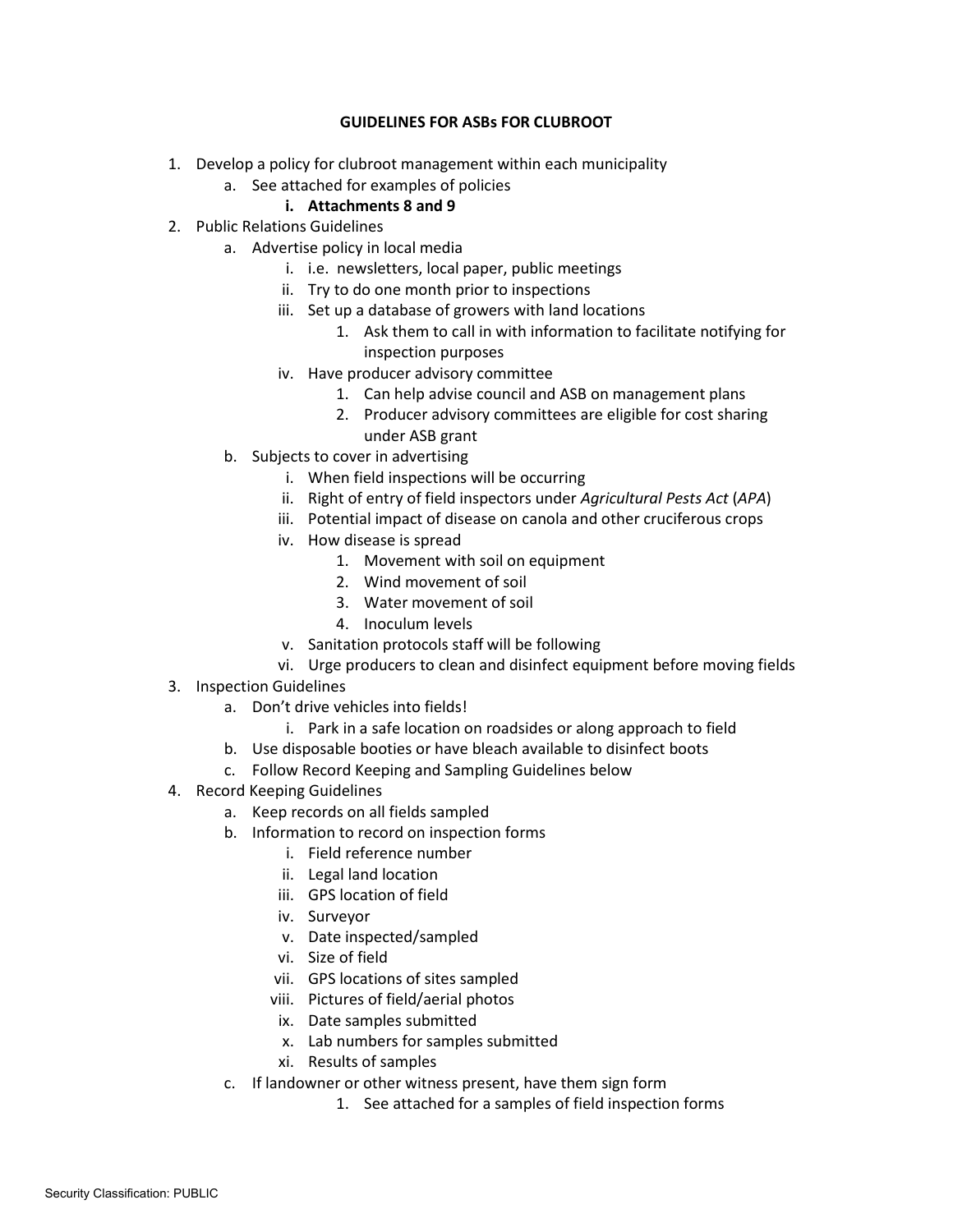# **GUIDELINES FOR ASBs FOR CLUBROOT**

- 1. Develop a policy for clubroot management within each municipality
	- a. See attached for examples of policies
		- **i. Attachments 8 and 9**
- 2. Public Relations Guidelines
	- a. Advertise policy in local media
		- i. i.e. newsletters, local paper, public meetings
		- ii. Try to do one month prior to inspections
		- iii. Set up a database of growers with land locations
			- 1. Ask them to call in with information to facilitate notifying for inspection purposes
		- iv. Have producer advisory committee
			- 1. Can help advise council and ASB on management plans
			- 2. Producer advisory committees are eligible for cost sharing under ASB grant
	- b. Subjects to cover in advertising
		- i. When field inspections will be occurring
		- ii. Right of entry of field inspectors under *Agricultural Pests Act* (*APA*)
		- iii. Potential impact of disease on canola and other cruciferous crops
		- iv. How disease is spread
			- 1. Movement with soil on equipment
			- 2. Wind movement of soil
			- 3. Water movement of soil
			- 4. Inoculum levels
		- v. Sanitation protocols staff will be following
		- vi. Urge producers to clean and disinfect equipment before moving fields
- 3. Inspection Guidelines
	- a. Don't drive vehicles into fields!
		- i. Park in a safe location on roadsides or along approach to field
	- b. Use disposable booties or have bleach available to disinfect boots
	- c. Follow Record Keeping and Sampling Guidelines below
- 4. Record Keeping Guidelines
	- a. Keep records on all fields sampled
	- b. Information to record on inspection forms
		- i. Field reference number
		- ii. Legal land location
		- iii. GPS location of field
		- iv. Surveyor
		- v. Date inspected/sampled
		- vi. Size of field
		- vii. GPS locations of sites sampled
		- viii. Pictures of field/aerial photos
		- ix. Date samples submitted
		- x. Lab numbers for samples submitted
		- xi. Results of samples
	- c. If landowner or other witness present, have them sign form
		- 1. See attached for a samples of field inspection forms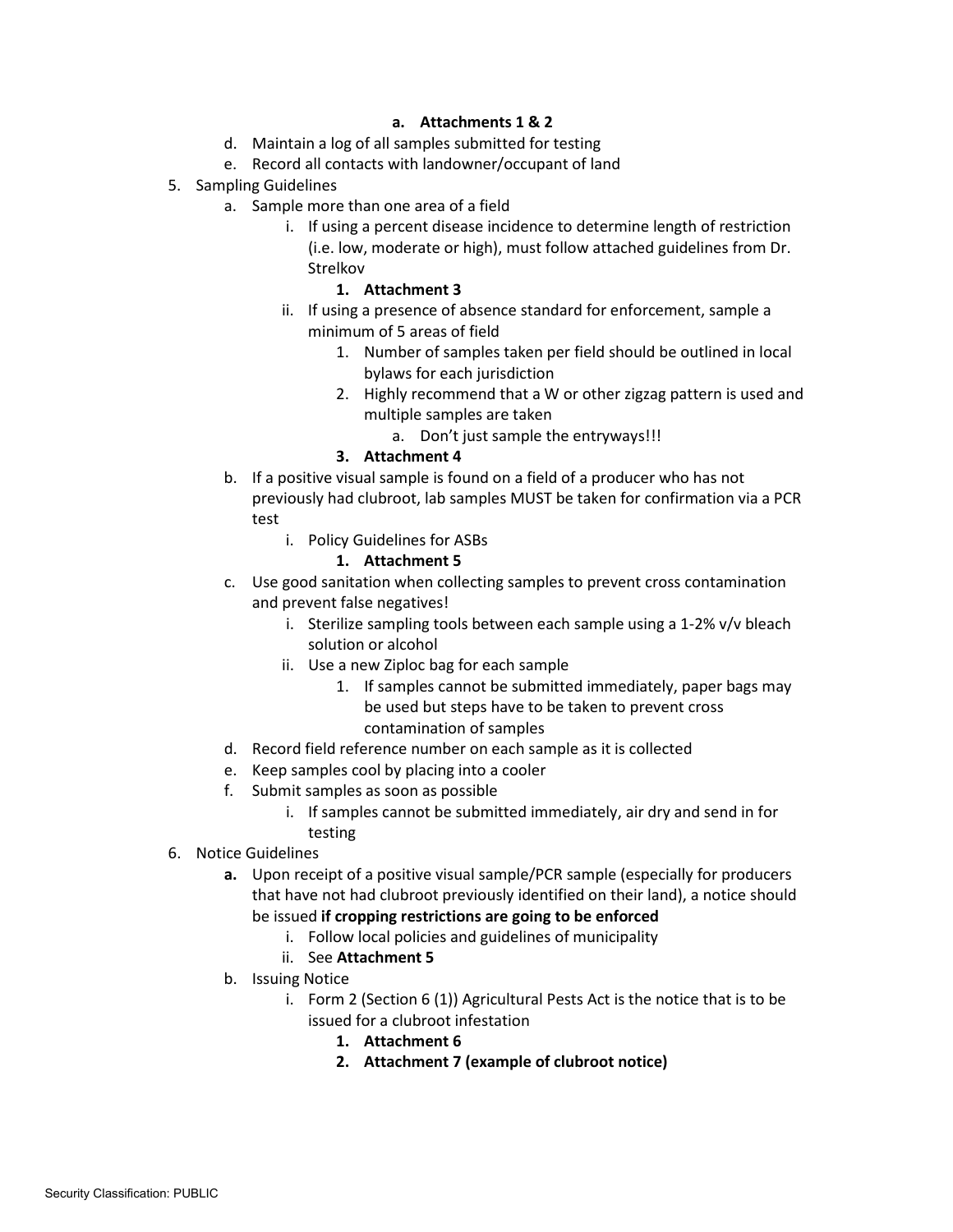# **a. Attachments 1 & 2**

- d. Maintain a log of all samples submitted for testing
- e. Record all contacts with landowner/occupant of land
- 5. Sampling Guidelines
	- a. Sample more than one area of a field
		- i. If using a percent disease incidence to determine length of restriction (i.e. low, moderate or high), must follow attached guidelines from Dr. Strelkov

# **1. Attachment 3**

- ii. If using a presence of absence standard for enforcement, sample a minimum of 5 areas of field
	- 1. Number of samples taken per field should be outlined in local bylaws for each jurisdiction
	- 2. Highly recommend that a W or other zigzag pattern is used and multiple samples are taken
		- a. Don't just sample the entryways!!!

# **3. Attachment 4**

- b. If a positive visual sample is found on a field of a producer who has not previously had clubroot, lab samples MUST be taken for confirmation via a PCR test
	- i. Policy Guidelines for ASBs

# **1. Attachment 5**

- c. Use good sanitation when collecting samples to prevent cross contamination and prevent false negatives!
	- i. Sterilize sampling tools between each sample using a 1-2% v/v bleach solution or alcohol
	- ii. Use a new Ziploc bag for each sample
		- 1. If samples cannot be submitted immediately, paper bags may be used but steps have to be taken to prevent cross contamination of samples
- d. Record field reference number on each sample as it is collected
- e. Keep samples cool by placing into a cooler
- f. Submit samples as soon as possible
	- i. If samples cannot be submitted immediately, air dry and send in for testing
- 6. Notice Guidelines
	- **a.** Upon receipt of a positive visual sample/PCR sample (especially for producers that have not had clubroot previously identified on their land), a notice should be issued **if cropping restrictions are going to be enforced**
		- i. Follow local policies and guidelines of municipality
		- ii. See **Attachment 5**
	- b. Issuing Notice
		- i. Form 2 (Section 6 (1)) Agricultural Pests Act is the notice that is to be issued for a clubroot infestation
			- **1. Attachment 6**
			- **2. Attachment 7 (example of clubroot notice)**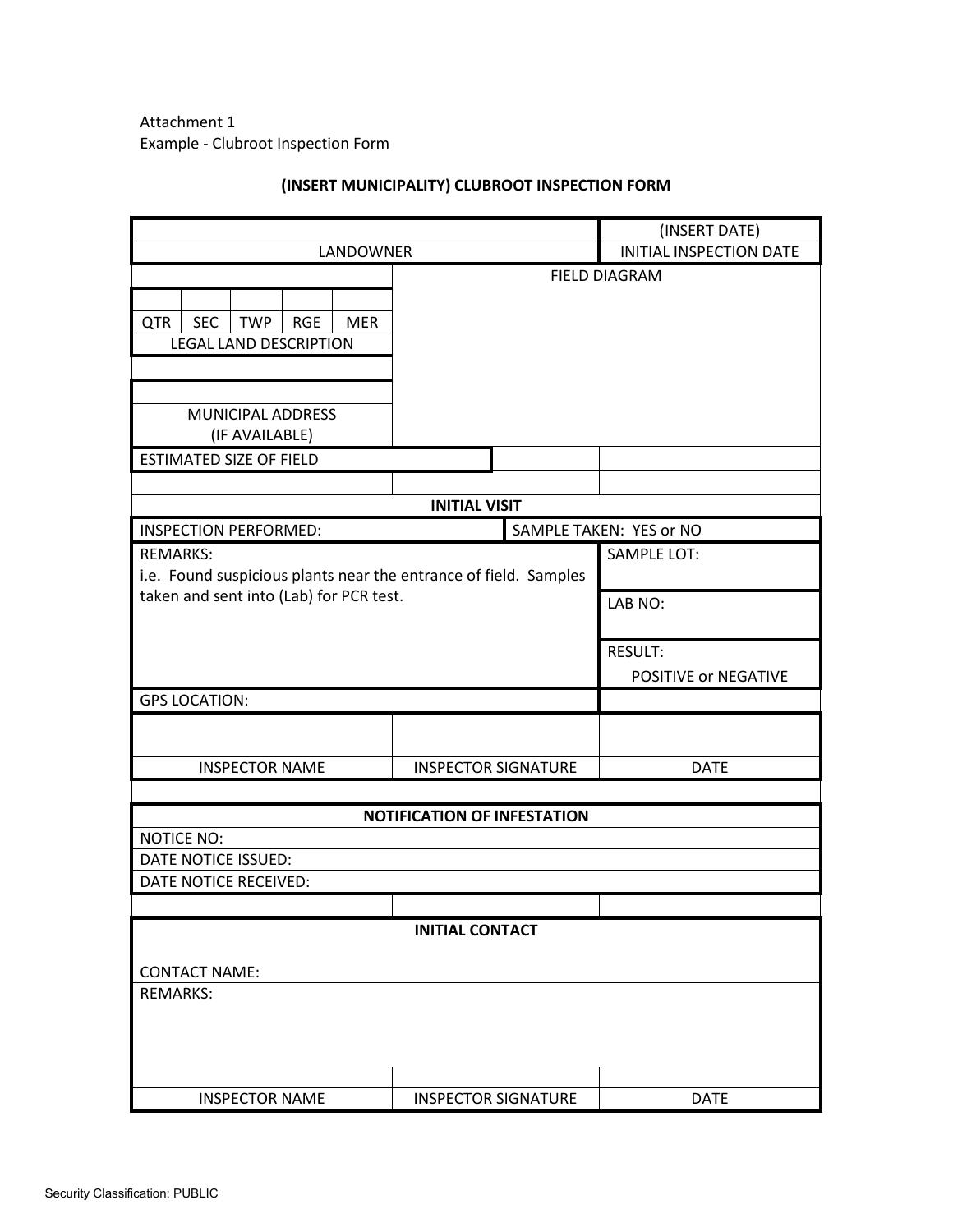Attachment 1 Example - Clubroot Inspection Form

|                                                                                     |                                    |                         | (INSERT DATE)           |
|-------------------------------------------------------------------------------------|------------------------------------|-------------------------|-------------------------|
| LANDOWNER                                                                           |                                    | INITIAL INSPECTION DATE |                         |
| <b>QTR</b><br><b>SEC</b><br>TWP<br><b>RGE</b><br><b>MER</b>                         | <b>FIELD DIAGRAM</b>               |                         |                         |
| <b>LEGAL LAND DESCRIPTION</b>                                                       |                                    |                         |                         |
|                                                                                     |                                    |                         |                         |
|                                                                                     |                                    |                         |                         |
| MUNICIPAL ADDRESS                                                                   |                                    |                         |                         |
| (IF AVAILABLE)                                                                      |                                    |                         |                         |
| <b>ESTIMATED SIZE OF FIELD</b>                                                      |                                    |                         |                         |
|                                                                                     |                                    |                         |                         |
|                                                                                     | <b>INITIAL VISIT</b>               |                         |                         |
| <b>INSPECTION PERFORMED:</b>                                                        |                                    |                         | SAMPLE TAKEN: YES or NO |
| <b>REMARKS:</b><br>i.e. Found suspicious plants near the entrance of field. Samples |                                    |                         | <b>SAMPLE LOT:</b>      |
| taken and sent into (Lab) for PCR test.                                             |                                    |                         | LAB NO:                 |
|                                                                                     |                                    |                         |                         |
|                                                                                     |                                    |                         | <b>RESULT:</b>          |
|                                                                                     |                                    |                         | POSITIVE or NEGATIVE    |
| <b>GPS LOCATION:</b>                                                                |                                    |                         |                         |
|                                                                                     |                                    |                         |                         |
|                                                                                     |                                    |                         |                         |
| <b>INSPECTOR NAME</b>                                                               | <b>INSPECTOR SIGNATURE</b>         |                         | <b>DATE</b>             |
|                                                                                     |                                    |                         |                         |
| <b>NOTICE NO:</b>                                                                   | <b>NOTIFICATION OF INFESTATION</b> |                         |                         |
| DATE NOTICE ISSUED:                                                                 |                                    |                         |                         |
| DATE NOTICE RECEIVED:                                                               |                                    |                         |                         |
|                                                                                     |                                    |                         |                         |
|                                                                                     | <b>INITIAL CONTACT</b>             |                         |                         |
|                                                                                     |                                    |                         |                         |
| <b>CONTACT NAME:</b>                                                                |                                    |                         |                         |
| <b>REMARKS:</b>                                                                     |                                    |                         |                         |
|                                                                                     |                                    |                         |                         |
|                                                                                     |                                    |                         |                         |
| <b>INSPECTOR NAME</b>                                                               | <b>INSPECTOR SIGNATURE</b>         |                         | <b>DATE</b>             |
|                                                                                     |                                    |                         |                         |

# **(INSERT MUNICIPALITY) CLUBROOT INSPECTION FORM**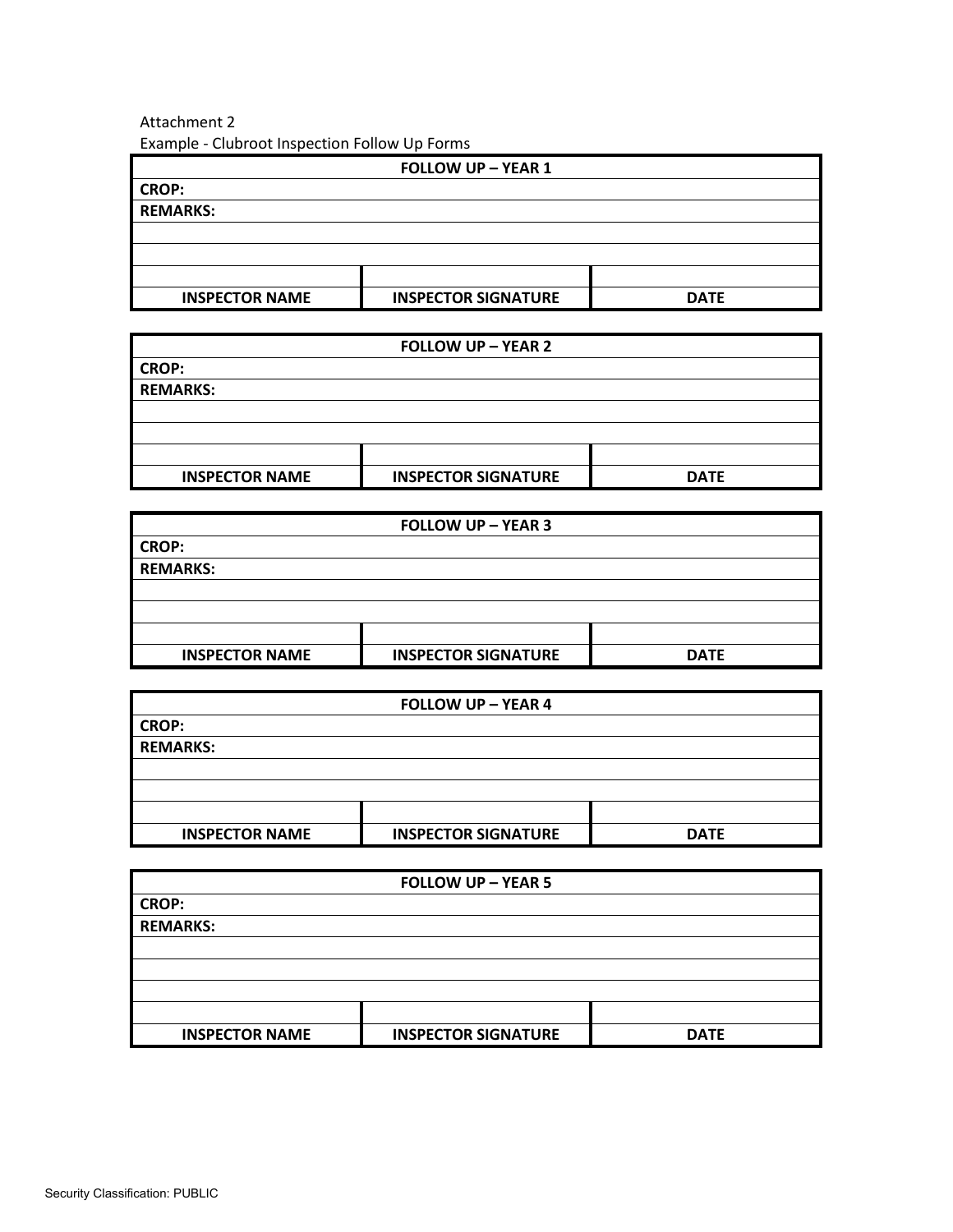# Attachment 2 Example - Clubroot Inspection Follow Up Forms

| <b>FOLLOW UP - YEAR 1</b> |                            |             |  |
|---------------------------|----------------------------|-------------|--|
| <b>CROP:</b>              |                            |             |  |
| <b>REMARKS:</b>           |                            |             |  |
|                           |                            |             |  |
|                           |                            |             |  |
|                           |                            |             |  |
| <b>INSPECTOR NAME</b>     | <b>INSPECTOR SIGNATURE</b> | <b>DATE</b> |  |

| <b>FOLLOW UP - YEAR 2</b> |                            |             |  |
|---------------------------|----------------------------|-------------|--|
| <b>CROP:</b>              |                            |             |  |
| <b>REMARKS:</b>           |                            |             |  |
|                           |                            |             |  |
|                           |                            |             |  |
|                           |                            |             |  |
| <b>INSPECTOR NAME</b>     | <b>INSPECTOR SIGNATURE</b> | <b>DATE</b> |  |

| <b>FOLLOW UP - YEAR 3</b> |                            |             |  |  |
|---------------------------|----------------------------|-------------|--|--|
| <b>CROP:</b>              |                            |             |  |  |
| <b>REMARKS:</b>           |                            |             |  |  |
|                           |                            |             |  |  |
|                           |                            |             |  |  |
|                           |                            |             |  |  |
| <b>INSPECTOR NAME</b>     | <b>INSPECTOR SIGNATURE</b> | <b>DATE</b> |  |  |

| <b>FOLLOW UP - YEAR 4</b> |                            |             |  |  |
|---------------------------|----------------------------|-------------|--|--|
| <b>CROP:</b>              |                            |             |  |  |
| <b>REMARKS:</b>           |                            |             |  |  |
|                           |                            |             |  |  |
|                           |                            |             |  |  |
|                           |                            |             |  |  |
| <b>INSPECTOR NAME</b>     | <b>INSPECTOR SIGNATURE</b> | <b>DATE</b> |  |  |

| <b>FOLLOW UP - YEAR 5</b> |                            |             |
|---------------------------|----------------------------|-------------|
| <b>CROP:</b>              |                            |             |
| <b>REMARKS:</b>           |                            |             |
|                           |                            |             |
|                           |                            |             |
|                           |                            |             |
|                           |                            |             |
| <b>INSPECTOR NAME</b>     | <b>INSPECTOR SIGNATURE</b> | <b>DATE</b> |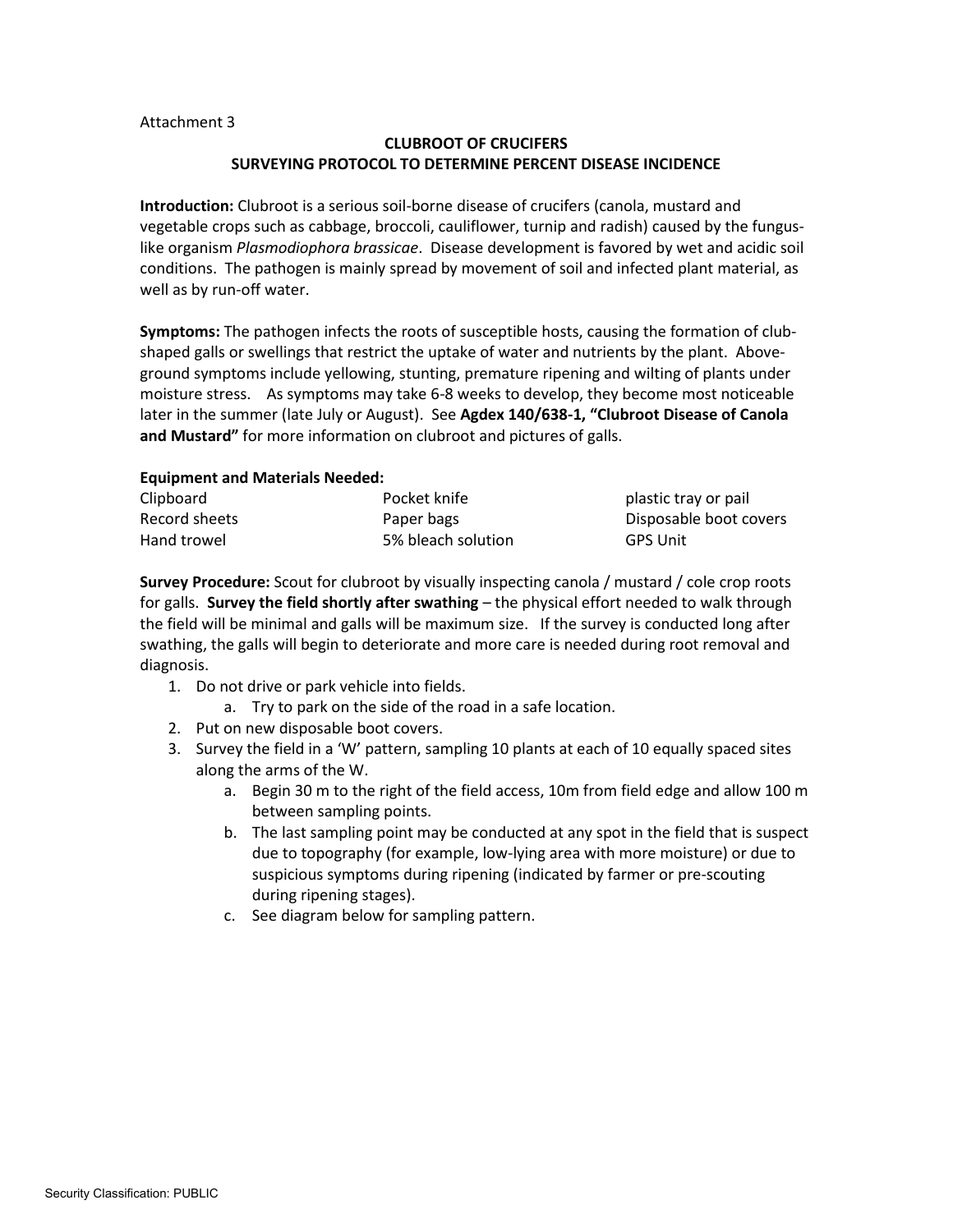#### Attachment 3

# **CLUBROOT OF CRUCIFERS SURVEYING PROTOCOL TO DETERMINE PERCENT DISEASE INCIDENCE**

**Introduction:** Clubroot is a serious soil-borne disease of crucifers (canola, mustard and vegetable crops such as cabbage, broccoli, cauliflower, turnip and radish) caused by the funguslike organism *Plasmodiophora brassicae*. Disease development is favored by wet and acidic soil conditions. The pathogen is mainly spread by movement of soil and infected plant material, as well as by run-off water.

**Symptoms:** The pathogen infects the roots of susceptible hosts, causing the formation of clubshaped galls or swellings that restrict the uptake of water and nutrients by the plant. Aboveground symptoms include yellowing, stunting, premature ripening and wilting of plants under moisture stress. As symptoms may take 6-8 weeks to develop, they become most noticeable later in the summer (late July or August). See **Agdex 140/638-1, "Clubroot Disease of Canola and Mustard"** for more information on clubroot and pictures of galls.

#### **Equipment and Materials Needed:**

| Clipboard     | Pocket knife       | plastic tray or pail   |
|---------------|--------------------|------------------------|
| Record sheets | Paper bags         | Disposable boot covers |
| Hand trowel   | 5% bleach solution | <b>GPS Unit</b>        |

**Survey Procedure:** Scout for clubroot by visually inspecting canola / mustard / cole crop roots for galls. **Survey the field shortly after swathing** – the physical effort needed to walk through the field will be minimal and galls will be maximum size. If the survey is conducted long after swathing, the galls will begin to deteriorate and more care is needed during root removal and diagnosis.

- 1. Do not drive or park vehicle into fields.
	- a. Try to park on the side of the road in a safe location.
- 2. Put on new disposable boot covers.
- 3. Survey the field in a 'W' pattern, sampling 10 plants at each of 10 equally spaced sites along the arms of the W.
	- a. Begin 30 m to the right of the field access, 10m from field edge and allow 100 m between sampling points.
	- b. The last sampling point may be conducted at any spot in the field that is suspect due to topography (for example, low-lying area with more moisture) or due to suspicious symptoms during ripening (indicated by farmer or pre-scouting during ripening stages).
	- c. See diagram below for sampling pattern.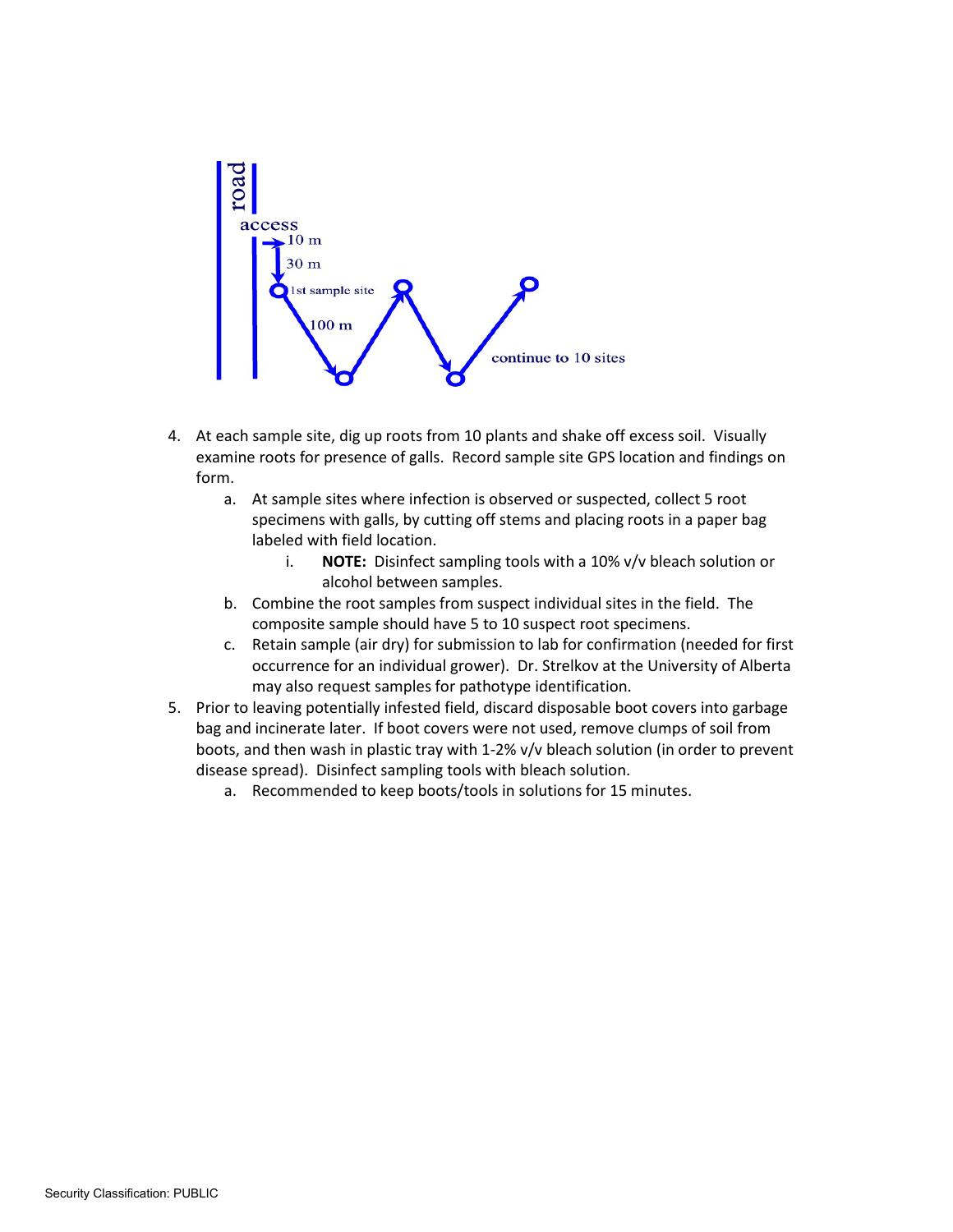

- 4. At each sample site, dig up roots from 10 plants and shake off excess soil. Visually examine roots for presence of galls. Record sample site GPS location and findings on form.
	- a. At sample sites where infection is observed or suspected, collect 5 root specimens with galls, by cutting off stems and placing roots in a paper bag labeled with field location.
		- i. **NOTE:** Disinfect sampling tools with a 10% v/v bleach solution or alcohol between samples.
	- b. Combine the root samples from suspect individual sites in the field. The composite sample should have 5 to 10 suspect root specimens.
	- c. Retain sample (air dry) for submission to lab for confirmation (needed for first occurrence for an individual grower). Dr. Strelkov at the University of Alberta may also request samples for pathotype identification.
- 5. Prior to leaving potentially infested field, discard disposable boot covers into garbage bag and incinerate later. If boot covers were not used, remove clumps of soil from boots, and then wash in plastic tray with 1-2% v/v bleach solution (in order to prevent disease spread). Disinfect sampling tools with bleach solution.
	- a. Recommended to keep boots/tools in solutions for 15 minutes.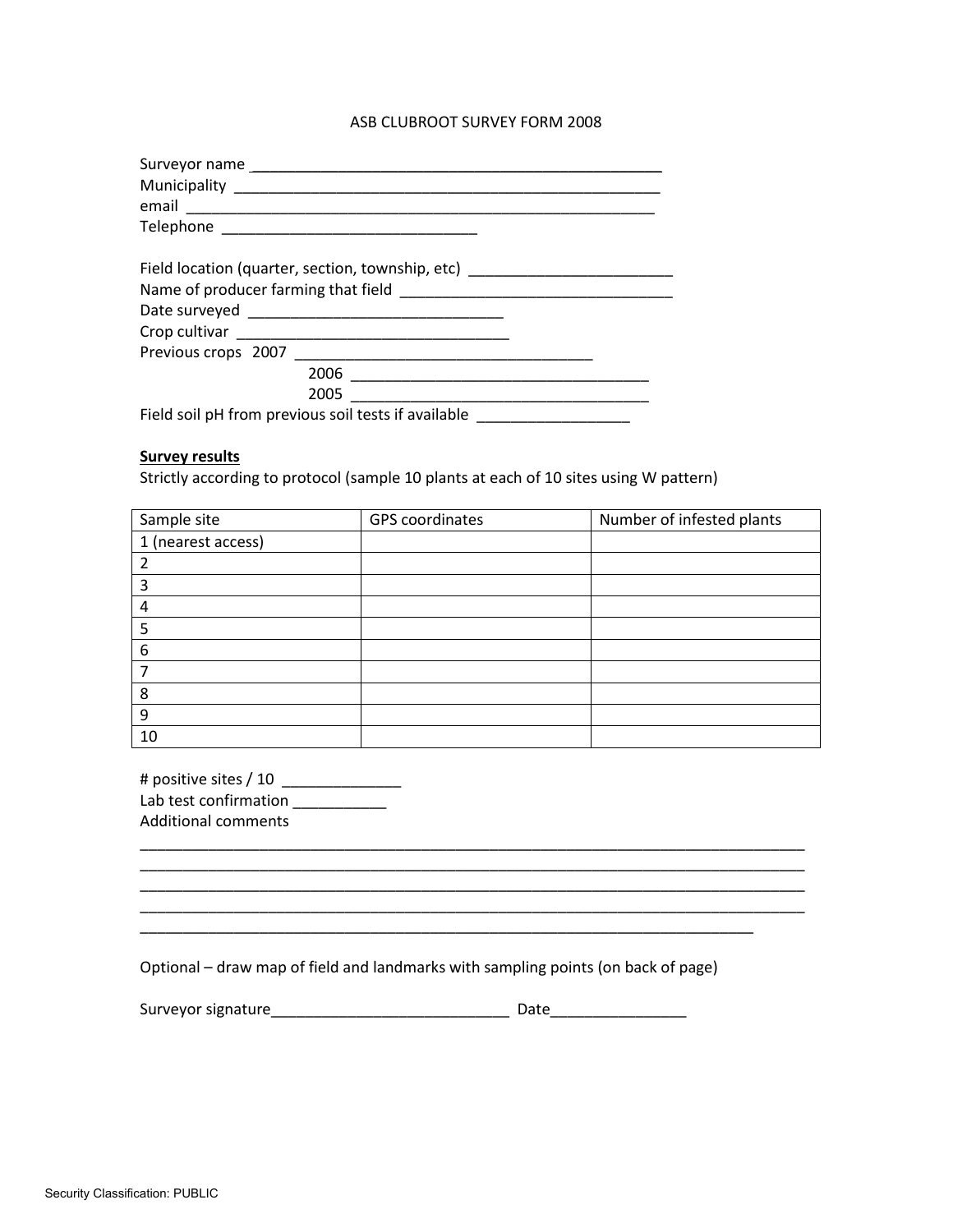#### ASB CLUBROOT SURVEY FORM 2008

| Surveyor name                                                                    |
|----------------------------------------------------------------------------------|
|                                                                                  |
|                                                                                  |
|                                                                                  |
|                                                                                  |
| Field location (quarter, section, township, etc) _______________________________ |
|                                                                                  |
|                                                                                  |
|                                                                                  |
|                                                                                  |
|                                                                                  |
| 2005                                                                             |
| Field soil pH from previous soil tests if available                              |

## **Survey results**

Strictly according to protocol (sample 10 plants at each of 10 sites using W pattern)

| Sample site        | GPS coordinates | Number of infested plants |
|--------------------|-----------------|---------------------------|
| 1 (nearest access) |                 |                           |
| 2                  |                 |                           |
| 3                  |                 |                           |
| 4                  |                 |                           |
| 5                  |                 |                           |
| 6                  |                 |                           |
|                    |                 |                           |
| 8                  |                 |                           |
| 9                  |                 |                           |
| 10                 |                 |                           |

\_\_\_\_\_\_\_\_\_\_\_\_\_\_\_\_\_\_\_\_\_\_\_\_\_\_\_\_\_\_\_\_\_\_\_\_\_\_\_\_\_\_\_\_\_\_\_\_\_\_\_\_\_\_\_\_\_\_\_\_\_\_\_\_\_\_\_\_\_\_\_\_\_\_\_\_\_\_ \_\_\_\_\_\_\_\_\_\_\_\_\_\_\_\_\_\_\_\_\_\_\_\_\_\_\_\_\_\_\_\_\_\_\_\_\_\_\_\_\_\_\_\_\_\_\_\_\_\_\_\_\_\_\_\_\_\_\_\_\_\_\_\_\_\_\_\_\_\_\_\_\_\_\_\_\_\_

# positive sites / 10 \_\_\_\_\_\_\_\_\_\_\_\_\_\_ Lab test confirmation \_\_\_\_\_\_\_\_\_\_\_\_ Additional comments

Optional – draw map of field and landmarks with sampling points (on back of page)

| Surveyor signature |  |
|--------------------|--|
|                    |  |

Surveyor signature\_\_\_\_\_\_\_\_\_\_\_\_\_\_\_\_\_\_\_\_\_\_\_\_\_\_\_\_ Date\_\_\_\_\_\_\_\_\_\_\_\_\_\_\_\_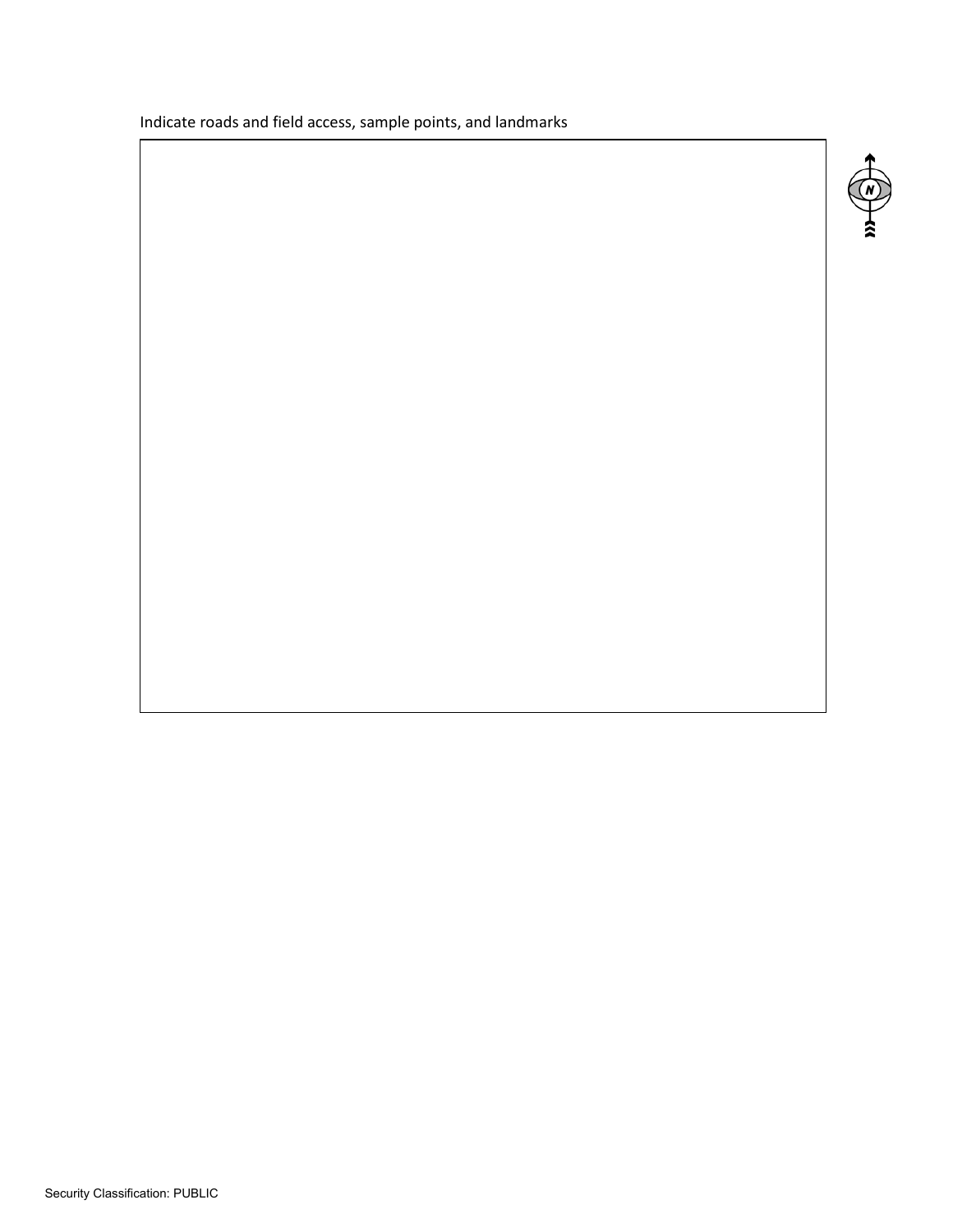Indicate roads and field access, sample points, and landmarks

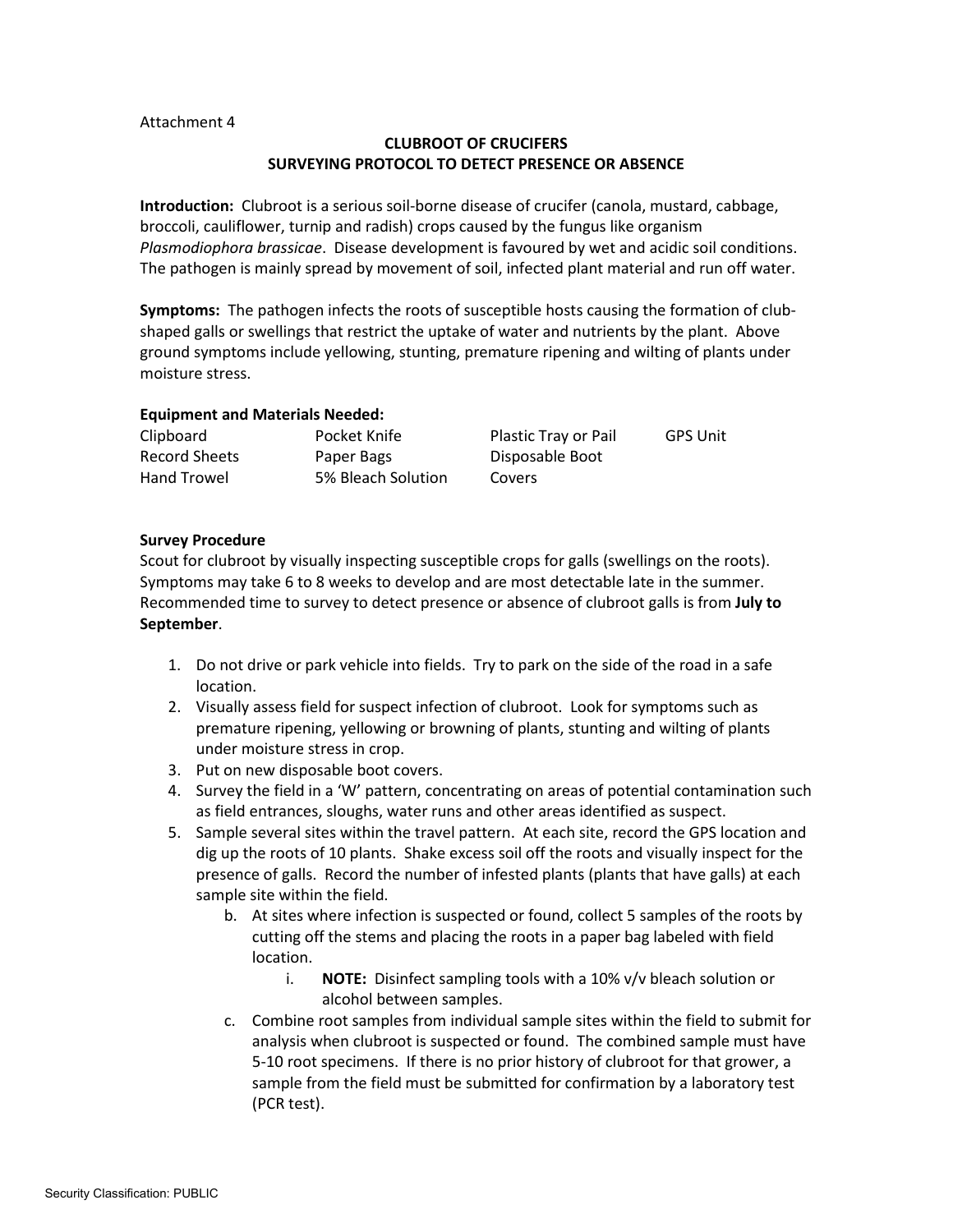#### Attachment 4

# **CLUBROOT OF CRUCIFERS SURVEYING PROTOCOL TO DETECT PRESENCE OR ABSENCE**

**Introduction:** Clubroot is a serious soil-borne disease of crucifer (canola, mustard, cabbage, broccoli, cauliflower, turnip and radish) crops caused by the fungus like organism *Plasmodiophora brassicae*. Disease development is favoured by wet and acidic soil conditions. The pathogen is mainly spread by movement of soil, infected plant material and run off water.

**Symptoms:** The pathogen infects the roots of susceptible hosts causing the formation of clubshaped galls or swellings that restrict the uptake of water and nutrients by the plant. Above ground symptoms include yellowing, stunting, premature ripening and wilting of plants under moisture stress.

## **Equipment and Materials Needed:**

| Clipboard     | Pocket Knife       | Plastic Tray or Pail | <b>GPS Unit</b> |
|---------------|--------------------|----------------------|-----------------|
| Record Sheets | Paper Bags         | Disposable Boot      |                 |
| Hand Trowel   | 5% Bleach Solution | <b>Covers</b>        |                 |

## **Survey Procedure**

Scout for clubroot by visually inspecting susceptible crops for galls (swellings on the roots). Symptoms may take 6 to 8 weeks to develop and are most detectable late in the summer. Recommended time to survey to detect presence or absence of clubroot galls is from **July to September**.

- 1. Do not drive or park vehicle into fields. Try to park on the side of the road in a safe location.
- 2. Visually assess field for suspect infection of clubroot. Look for symptoms such as premature ripening, yellowing or browning of plants, stunting and wilting of plants under moisture stress in crop.
- 3. Put on new disposable boot covers.
- 4. Survey the field in a 'W' pattern, concentrating on areas of potential contamination such as field entrances, sloughs, water runs and other areas identified as suspect.
- 5. Sample several sites within the travel pattern. At each site, record the GPS location and dig up the roots of 10 plants. Shake excess soil off the roots and visually inspect for the presence of galls. Record the number of infested plants (plants that have galls) at each sample site within the field.
	- b. At sites where infection is suspected or found, collect 5 samples of the roots by cutting off the stems and placing the roots in a paper bag labeled with field location.
		- i. **NOTE:** Disinfect sampling tools with a 10% v/v bleach solution or alcohol between samples.
	- c. Combine root samples from individual sample sites within the field to submit for analysis when clubroot is suspected or found. The combined sample must have 5-10 root specimens. If there is no prior history of clubroot for that grower, a sample from the field must be submitted for confirmation by a laboratory test (PCR test).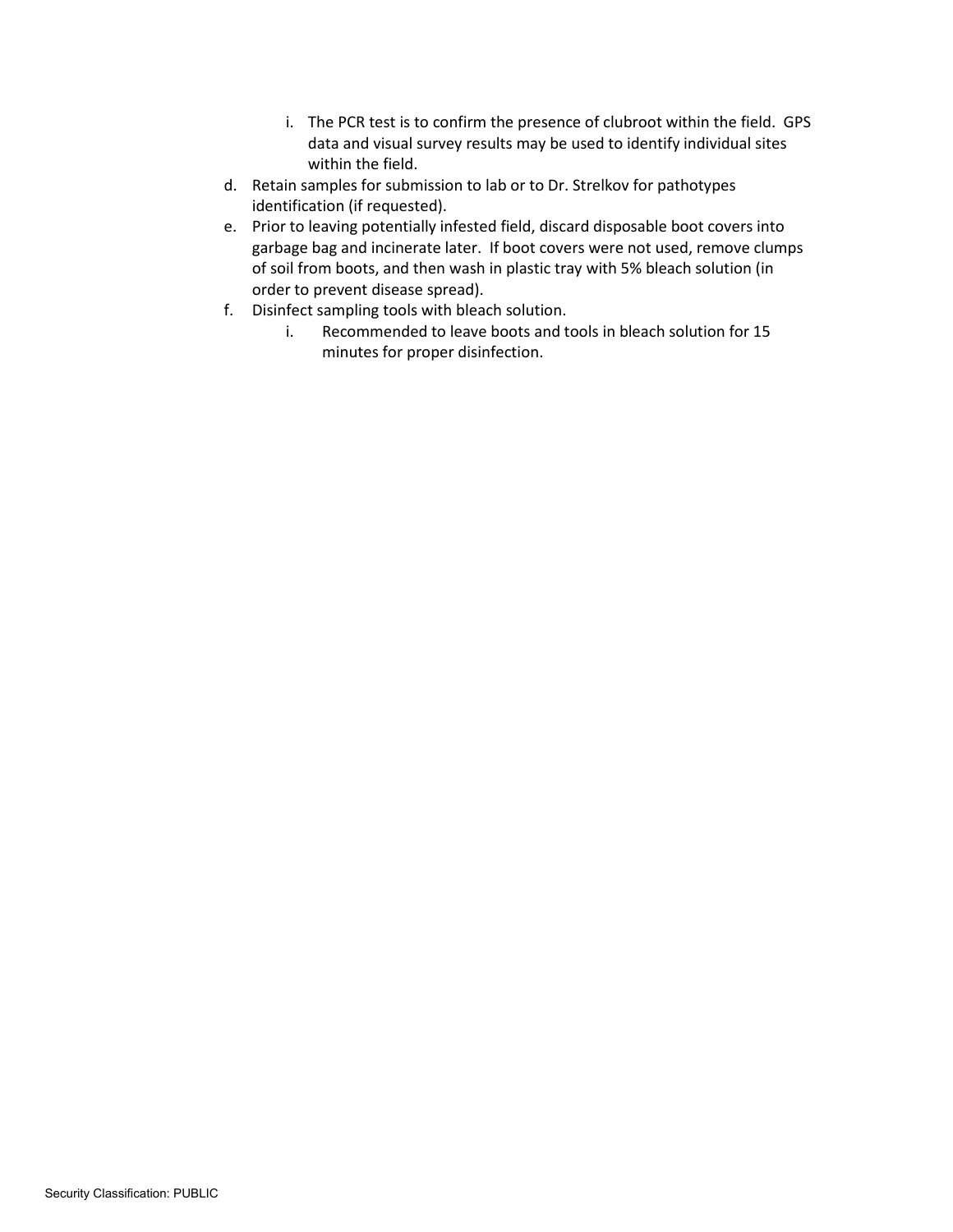- i. The PCR test is to confirm the presence of clubroot within the field. GPS data and visual survey results may be used to identify individual sites within the field.
- d. Retain samples for submission to lab or to Dr. Strelkov for pathotypes identification (if requested).
- e. Prior to leaving potentially infested field, discard disposable boot covers into garbage bag and incinerate later. If boot covers were not used, remove clumps of soil from boots, and then wash in plastic tray with 5% bleach solution (in order to prevent disease spread).
- f. Disinfect sampling tools with bleach solution.
	- i. Recommended to leave boots and tools in bleach solution for 15 minutes for proper disinfection.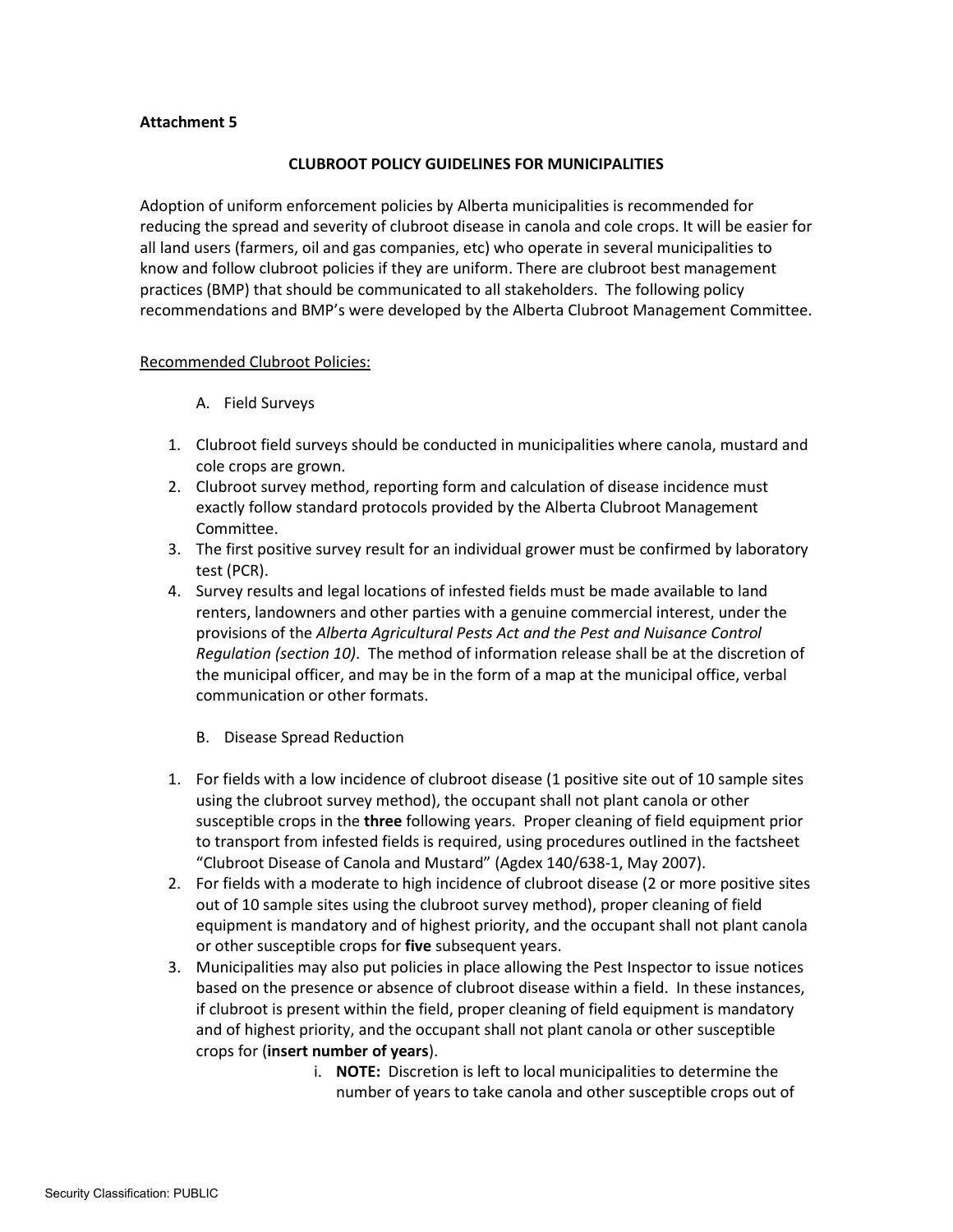## **Attachment 5**

## **CLUBROOT POLICY GUIDELINES FOR MUNICIPALITIES**

Adoption of uniform enforcement policies by Alberta municipalities is recommended for reducing the spread and severity of clubroot disease in canola and cole crops. It will be easier for all land users (farmers, oil and gas companies, etc) who operate in several municipalities to know and follow clubroot policies if they are uniform. There are clubroot best management practices (BMP) that should be communicated to all stakeholders. The following policy recommendations and BMP's were developed by the Alberta Clubroot Management Committee.

#### Recommended Clubroot Policies:

- A. Field Surveys
- 1. Clubroot field surveys should be conducted in municipalities where canola, mustard and cole crops are grown.
- 2. Clubroot survey method, reporting form and calculation of disease incidence must exactly follow standard protocols provided by the Alberta Clubroot Management Committee.
- 3. The first positive survey result for an individual grower must be confirmed by laboratory test (PCR).
- 4. Survey results and legal locations of infested fields must be made available to land renters, landowners and other parties with a genuine commercial interest, under the provisions of the *Alberta Agricultural Pests Act and the Pest and Nuisance Control Regulation (section 10)*. The method of information release shall be at the discretion of the municipal officer, and may be in the form of a map at the municipal office, verbal communication or other formats.
	- B. Disease Spread Reduction
- 1. For fields with a low incidence of clubroot disease (1 positive site out of 10 sample sites using the clubroot survey method), the occupant shall not plant canola or other susceptible crops in the **three** following years. Proper cleaning of field equipment prior to transport from infested fields is required, using procedures outlined in the factsheet "Clubroot Disease of Canola and Mustard" (Agdex 140/638-1, May 2007).
- 2. For fields with a moderate to high incidence of clubroot disease (2 or more positive sites out of 10 sample sites using the clubroot survey method), proper cleaning of field equipment is mandatory and of highest priority, and the occupant shall not plant canola or other susceptible crops for **five** subsequent years.
- 3. Municipalities may also put policies in place allowing the Pest Inspector to issue notices based on the presence or absence of clubroot disease within a field. In these instances, if clubroot is present within the field, proper cleaning of field equipment is mandatory and of highest priority, and the occupant shall not plant canola or other susceptible crops for (**insert number of years**).
	- i. **NOTE:** Discretion is left to local municipalities to determine the number of years to take canola and other susceptible crops out of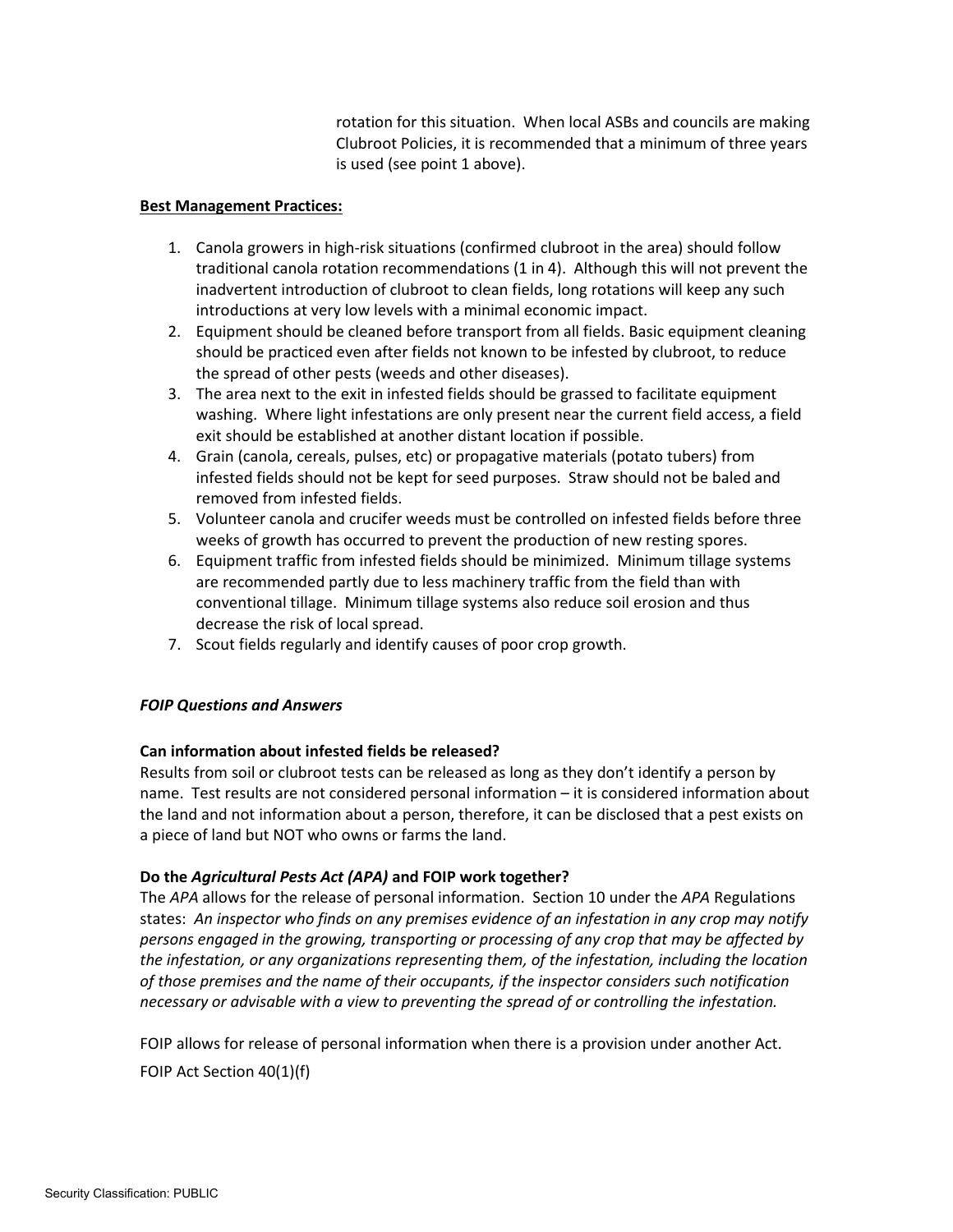rotation for this situation. When local ASBs and councils are making Clubroot Policies, it is recommended that a minimum of three years is used (see point 1 above).

# **Best Management Practices:**

- 1. Canola growers in high-risk situations (confirmed clubroot in the area) should follow traditional canola rotation recommendations (1 in 4). Although this will not prevent the inadvertent introduction of clubroot to clean fields, long rotations will keep any such introductions at very low levels with a minimal economic impact.
- 2. Equipment should be cleaned before transport from all fields. Basic equipment cleaning should be practiced even after fields not known to be infested by clubroot, to reduce the spread of other pests (weeds and other diseases).
- 3. The area next to the exit in infested fields should be grassed to facilitate equipment washing. Where light infestations are only present near the current field access, a field exit should be established at another distant location if possible.
- 4. Grain (canola, cereals, pulses, etc) or propagative materials (potato tubers) from infested fields should not be kept for seed purposes. Straw should not be baled and removed from infested fields.
- 5. Volunteer canola and crucifer weeds must be controlled on infested fields before three weeks of growth has occurred to prevent the production of new resting spores.
- 6. Equipment traffic from infested fields should be minimized. Minimum tillage systems are recommended partly due to less machinery traffic from the field than with conventional tillage. Minimum tillage systems also reduce soil erosion and thus decrease the risk of local spread.
- 7. Scout fields regularly and identify causes of poor crop growth.

# *FOIP Questions and Answers*

# **Can information about infested fields be released?**

Results from soil or clubroot tests can be released as long as they don't identify a person by name. Test results are not considered personal information – it is considered information about the land and not information about a person, therefore, it can be disclosed that a pest exists on a piece of land but NOT who owns or farms the land.

# **Do the** *Agricultural Pests Act (APA)* **and FOIP work together?**

The *APA* allows for the release of personal information. Section 10 under the *APA* Regulations states: *An inspector who finds on any premises evidence of an infestation in any crop may notify persons engaged in the growing, transporting or processing of any crop that may be affected by the infestation, or any organizations representing them, of the infestation, including the location of those premises and the name of their occupants, if the inspector considers such notification necessary or advisable with a view to preventing the spread of or controlling the infestation.*

FOIP allows for release of personal information when there is a provision under another Act. FOIP Act Section 40(1)(f)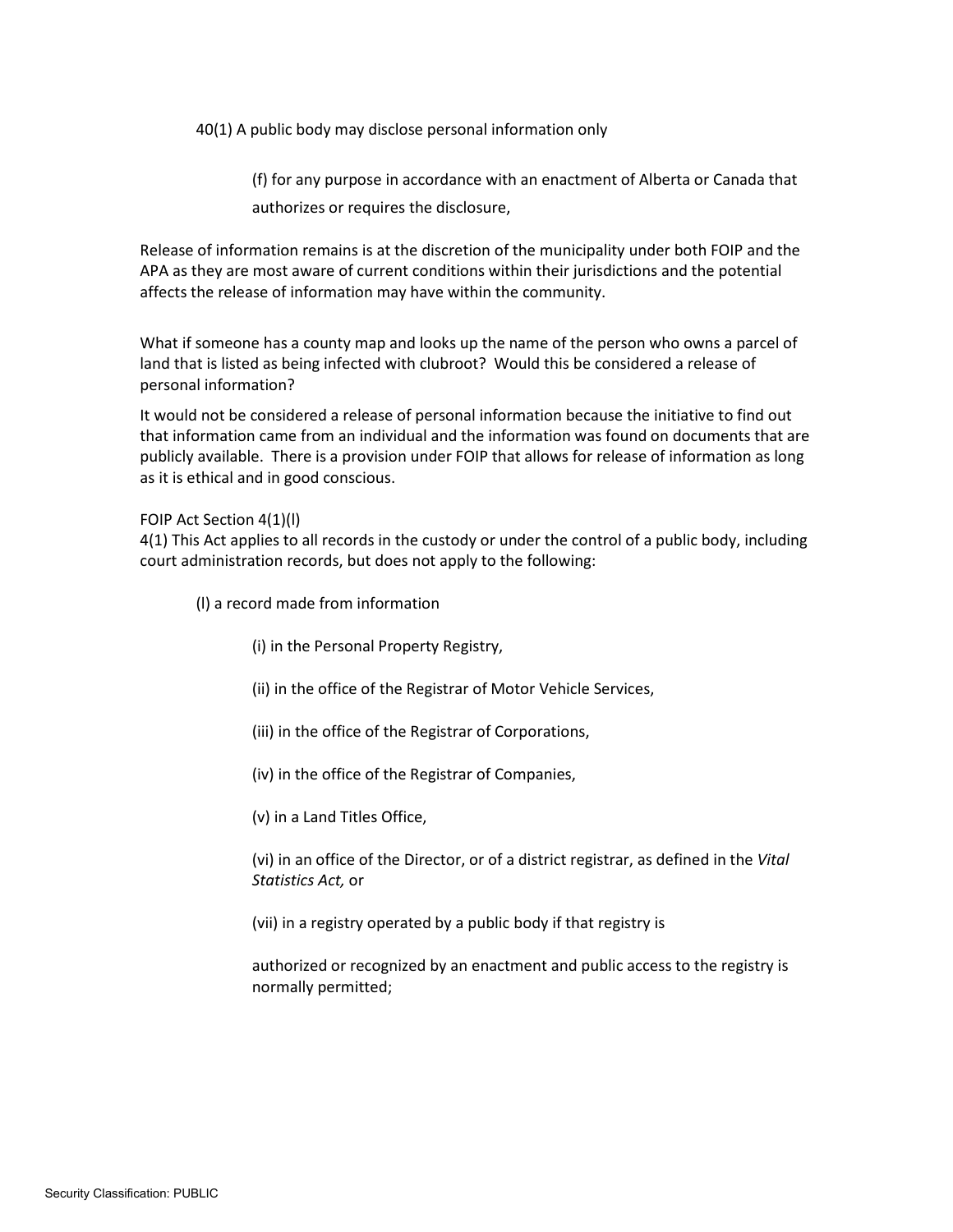40(1) A public body may disclose personal information only

(f) for any purpose in accordance with an enactment of Alberta or Canada that authorizes or requires the disclosure,

Release of information remains is at the discretion of the municipality under both FOIP and the APA as they are most aware of current conditions within their jurisdictions and the potential affects the release of information may have within the community.

What if someone has a county map and looks up the name of the person who owns a parcel of land that is listed as being infected with clubroot? Would this be considered a release of personal information?

It would not be considered a release of personal information because the initiative to find out that information came from an individual and the information was found on documents that are publicly available. There is a provision under FOIP that allows for release of information as long as it is ethical and in good conscious.

FOIP Act Section 4(1)(l)

4(1) This Act applies to all records in the custody or under the control of a public body, including court administration records, but does not apply to the following:

(l) a record made from information

(i) in the Personal Property Registry,

(ii) in the office of the Registrar of Motor Vehicle Services,

(iii) in the office of the Registrar of Corporations,

(iv) in the office of the Registrar of Companies,

(v) in a Land Titles Office,

(vi) in an office of the Director, or of a district registrar, as defined in the *Vital Statistics Act,* or

(vii) in a registry operated by a public body if that registry is

authorized or recognized by an enactment and public access to the registry is normally permitted;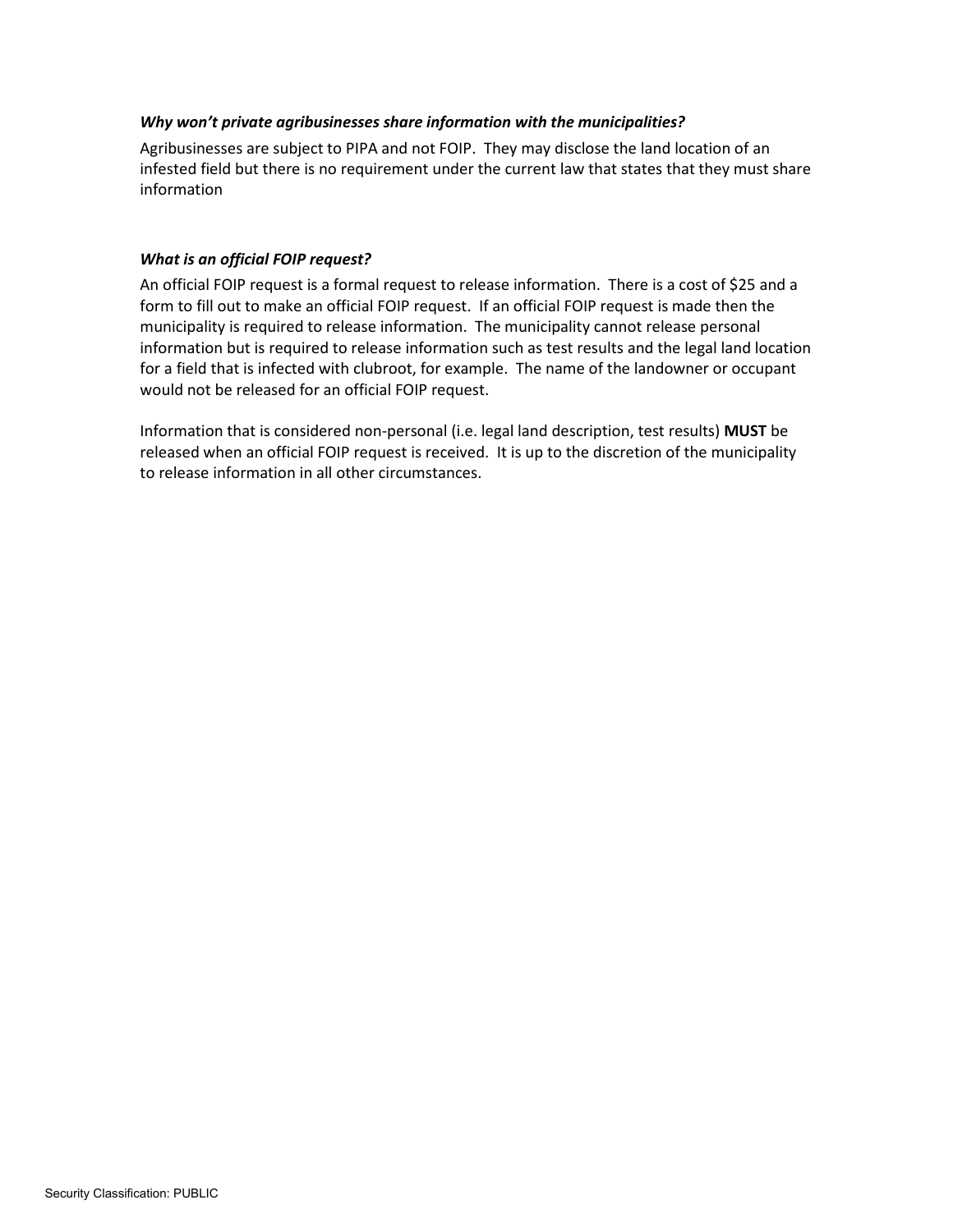# *Why won't private agribusinesses share information with the municipalities?*

Agribusinesses are subject to PIPA and not FOIP. They may disclose the land location of an infested field but there is no requirement under the current law that states that they must share information

## *What is an official FOIP request?*

An official FOIP request is a formal request to release information. There is a cost of \$25 and a form to fill out to make an official FOIP request. If an official FOIP request is made then the municipality is required to release information. The municipality cannot release personal information but is required to release information such as test results and the legal land location for a field that is infected with clubroot, for example. The name of the landowner or occupant would not be released for an official FOIP request.

Information that is considered non-personal (i.e. legal land description, test results) **MUST** be released when an official FOIP request is received. It is up to the discretion of the municipality to release information in all other circumstances.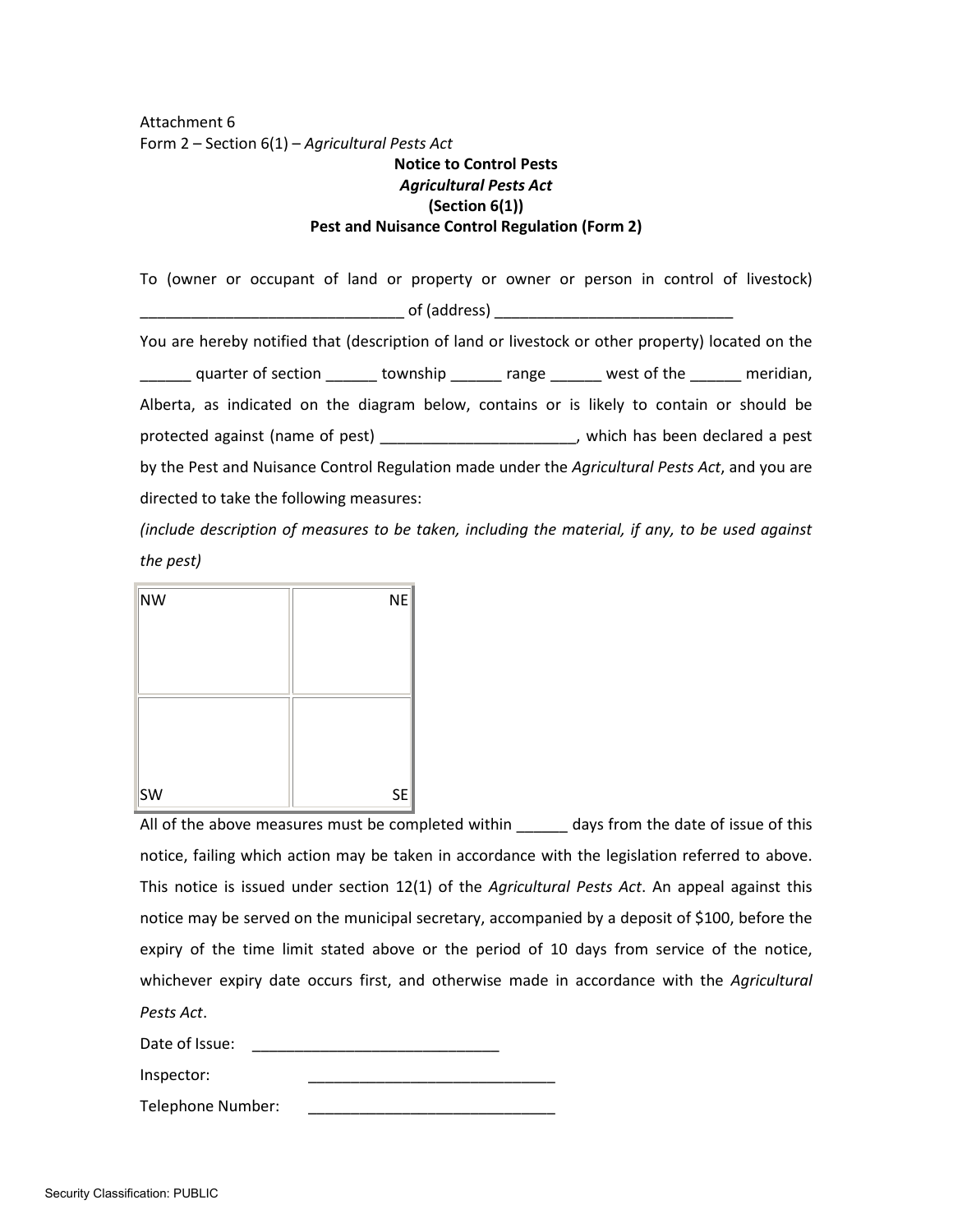Attachment 6 Form 2 – Section 6(1) – *Agricultural Pests Act*

# **Notice to Control Pests** *Agricultural Pests Act* **(Section 6(1)) Pest and Nuisance Control Regulation (Form 2)**

To (owner or occupant of land or property or owner or person in control of livestock)  $of$  (address) You are hereby notified that (description of land or livestock or other property) located on the \_\_\_\_\_\_ quarter of section \_\_\_\_\_\_ township \_\_\_\_\_\_ range \_\_\_\_\_\_ west of the \_\_\_\_\_\_ meridian, Alberta, as indicated on the diagram below, contains or is likely to contain or should be protected against (name of pest) \_\_\_\_\_\_\_\_\_\_\_\_\_\_\_\_\_\_\_\_\_\_\_, which has been declared a pest by the Pest and Nuisance Control Regulation made under the *Agricultural Pests Act*, and you are directed to take the following measures:

*(include description of measures to be taken, including the material, if any, to be used against the pest)* 

| NW  | <b>NE</b> |
|-----|-----------|
|     |           |
|     |           |
|     |           |
|     |           |
|     |           |
| ∣sw | <b>SE</b> |

All of the above measures must be completed within days from the date of issue of this notice, failing which action may be taken in accordance with the legislation referred to above. This notice is issued under section 12(1) of the *Agricultural Pests Act*. An appeal against this notice may be served on the municipal secretary, accompanied by a deposit of \$100, before the expiry of the time limit stated above or the period of 10 days from service of the notice, whichever expiry date occurs first, and otherwise made in accordance with the *Agricultural Pests Act*.

Date of Issue: **Example 20** 

Inspector:

Telephone Number: \_\_\_\_\_\_\_\_\_\_\_\_\_\_\_\_\_\_\_\_\_\_\_\_\_\_\_\_\_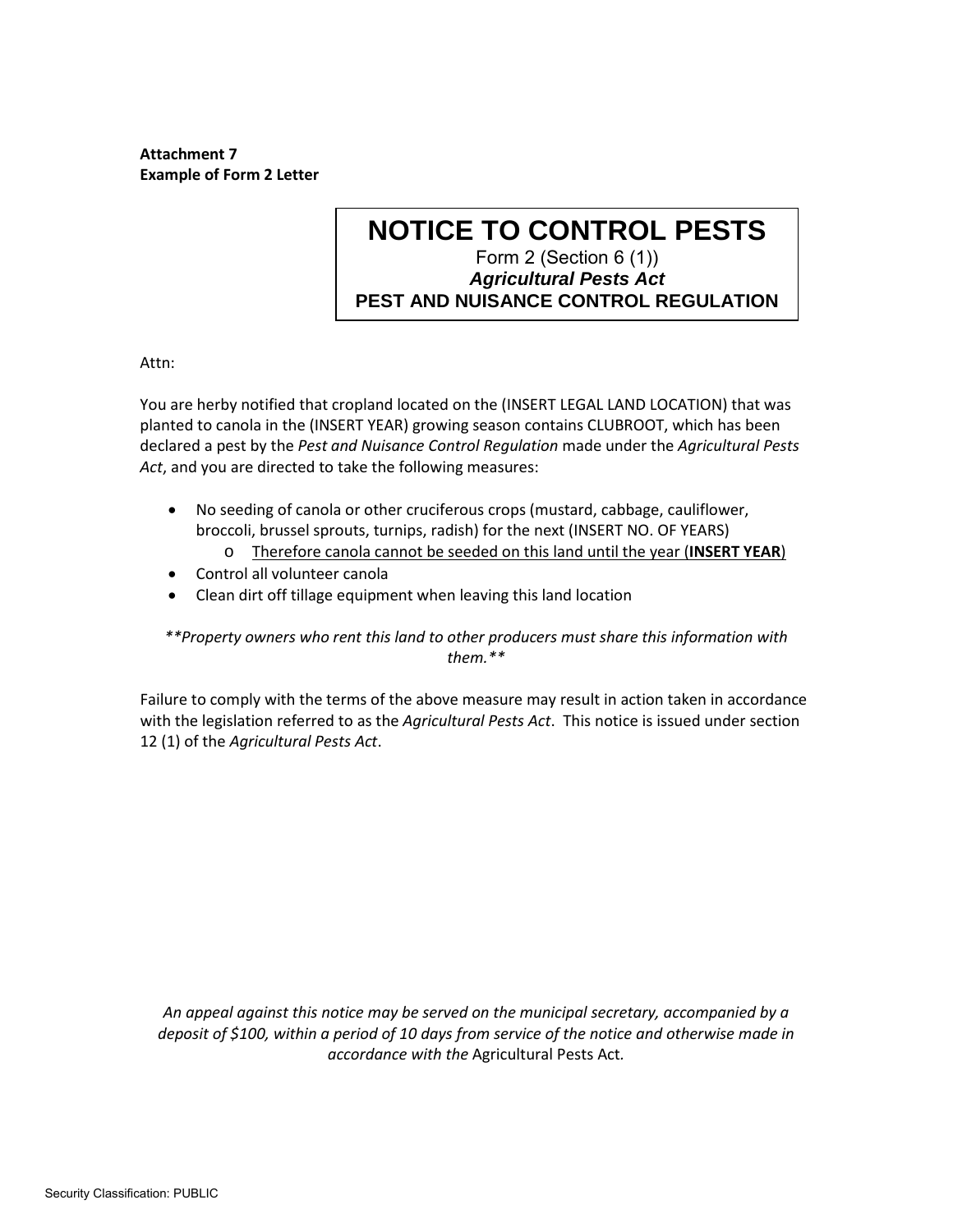**Attachment 7 Example of Form 2 Letter**

# **NOTICE TO CONTROL PESTS** Form 2 (Section 6 (1)) *Agricultural Pests Act* **PEST AND NUISANCE CONTROL REGULATION**

Attn:

You are herby notified that cropland located on the (INSERT LEGAL LAND LOCATION) that was planted to canola in the (INSERT YEAR) growing season contains CLUBROOT, which has been declared a pest by the *Pest and Nuisance Control Regulation* made under the *Agricultural Pests Act*, and you are directed to take the following measures:

- No seeding of canola or other cruciferous crops (mustard, cabbage, cauliflower, broccoli, brussel sprouts, turnips, radish) for the next (INSERT NO. OF YEARS)
	- o Therefore canola cannot be seeded on this land until the year (**INSERT YEAR**)
- Control all volunteer canola
- Clean dirt off tillage equipment when leaving this land location

# *\*\*Property owners who rent this land to other producers must share this information with them.\*\**

Failure to comply with the terms of the above measure may result in action taken in accordance with the legislation referred to as the *Agricultural Pests Act*. This notice is issued under section 12 (1) of the *Agricultural Pests Act*.

*An appeal against this notice may be served on the municipal secretary, accompanied by a deposit of \$100, within a period of 10 days from service of the notice and otherwise made in accordance with the* Agricultural Pests Act*.*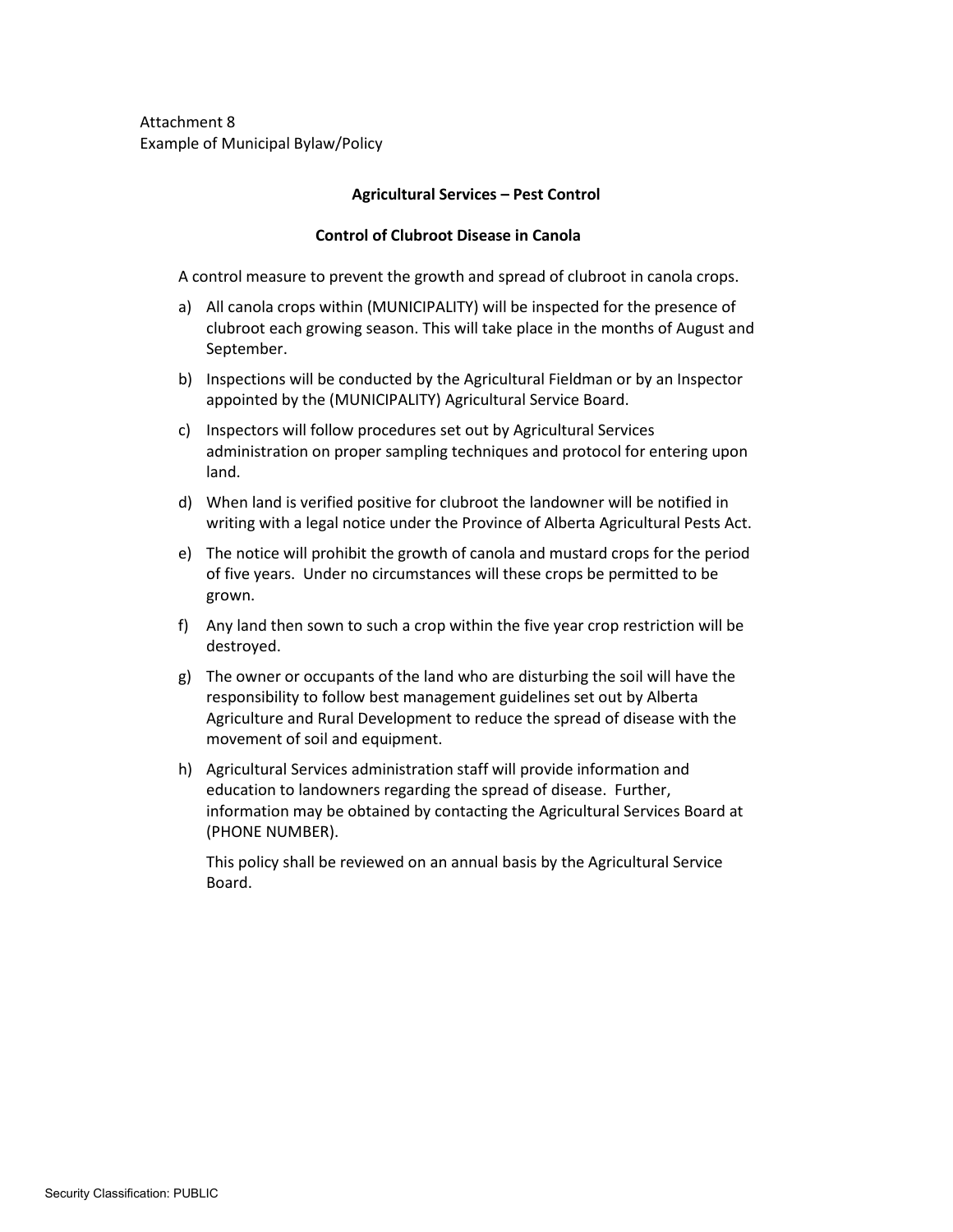Attachment 8 Example of Municipal Bylaw/Policy

## **Agricultural Services – Pest Control**

#### **Control of Clubroot Disease in Canola**

A control measure to prevent the growth and spread of clubroot in canola crops.

- a) All canola crops within (MUNICIPALITY) will be inspected for the presence of clubroot each growing season. This will take place in the months of August and September.
- b) Inspections will be conducted by the Agricultural Fieldman or by an Inspector appointed by the (MUNICIPALITY) Agricultural Service Board.
- c) Inspectors will follow procedures set out by Agricultural Services administration on proper sampling techniques and protocol for entering upon land.
- d) When land is verified positive for clubroot the landowner will be notified in writing with a legal notice under the Province of Alberta Agricultural Pests Act.
- e) The notice will prohibit the growth of canola and mustard crops for the period of five years. Under no circumstances will these crops be permitted to be grown.
- f) Any land then sown to such a crop within the five year crop restriction will be destroyed.
- g) The owner or occupants of the land who are disturbing the soil will have the responsibility to follow best management guidelines set out by Alberta Agriculture and Rural Development to reduce the spread of disease with the movement of soil and equipment.
- h) Agricultural Services administration staff will provide information and education to landowners regarding the spread of disease. Further, information may be obtained by contacting the Agricultural Services Board at (PHONE NUMBER).

This policy shall be reviewed on an annual basis by the Agricultural Service Board.